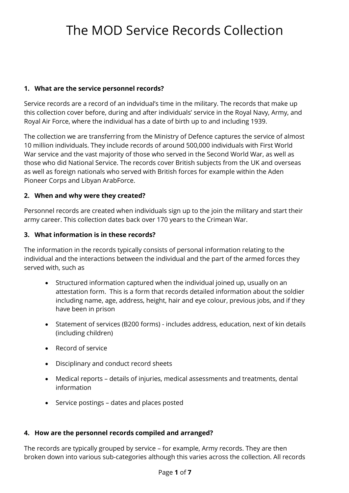### **1. What are the service personnel records?**

Service records are a record of an indvidual's time in the military. The records that make up this collection cover before, during and after individuals' service in the Royal Navy, Army, and Royal Air Force, where the individual has a date of birth up to and including 1939.

 The collection we are transferring from the Ministry of Defence captures the service of almost as well as foreign nationals who served with British forces for example within the Aden 10 million individuals. They include records of around 500,000 individuals with First World War service and the vast majority of those who served in the Second World War, as well as those who did National Service. The records cover British subjects from the UK and overseas Pioneer Corps and Libyan ArabForce.

### **2. When and why were they created?**

 Personnel records are created when individuals sign up to the join the military and start their army career. This collection dates back over 170 years to the Crimean War.

### **3. What information is in these records?**

The information in the records typically consists of personal information relating to the individual and the interactions between the individual and the part of the armed forces they served with, such as

- Structured information captured when the individual joined up, usually on an attestation form. This is a form that records detailed information about the soldier including name, age, address, height, hair and eye colour, previous jobs, and if they have been in prison
- Statement of services (B200 forms) includes address, education, next of kin details (including children)
- Record of service
- Disciplinary and conduct record sheets
- Medical reports details of injuries, medical assessments and treatments, dental information
- Service postings dates and places posted

### **4. How are the personnel records compiled and arranged?**

The records are typically grouped by service – for example, Army records. They are then broken down into various sub-categories although this varies across the collection. All records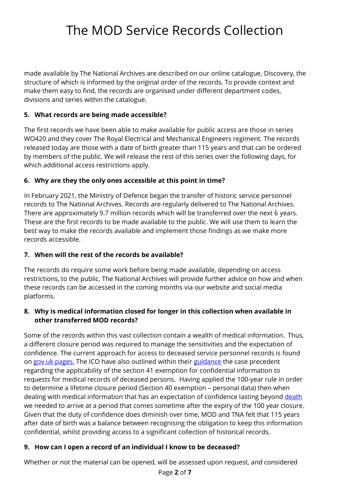structure of which is informed by the original order of the records. To provide context and made available by The National Archives are described on our online catalogue, Discovery, the make them easy to find, the records are organised under different department codes, divisions and series within the catalogue.

### **5. What records are being made accessible?**

The first records we have been able to make available for public access are those in series WO420 and they cover The Royal Electrical and Mechanical Engineers regiment. The records released today are those with a date of birth greater than 115 years and that can be ordered by members of the public. We will release the rest of this series over the following days, for which additional access restrictions apply.

### **6. Why are they the only ones accessible at this point in time?**

 best way to make the records available and implement those findings as we make more In February 2021, the Ministry of Defence began the transfer of historic service personnel records to The National Archives. Records are regularly delivered to The National Archives. There are approximately 9.7 million records which will be transferred over the next 6 years. These are the first records to be made available to the public. We will use them to learn the records accessible.

## **7. When will the rest of the records be available?**

 The records do require some work before being made available, depending on access platforms. restrictions, to the public. The National Archives will provide further advice on how and when these records can be accessed in the coming months via our website and social media

### **8. Why is medical information closed for longer in this collection when available in other transferred MOD records?**

 requests for medical records of deceased persons. Having applied the 100-year rule in order to determine a lifetime closure period (Section 40 exemption – personal data) then when we needed to arrive at a period that comes sometime after the expiry of the 100 year closure. Some of the records within this vast collection contain a wealth of medical information. Thus, a different closure period was required to manage the sensitivities and the expectation of confidence. The current approach for access to deceased service personnel records is found on [gov.uk pages.](https://www.gov.uk/guidance/request-records-of-deceased-service-personnel) The ICO have also outlined within their [guidance](https://ico.org.uk/media/for-organisations/documents/1202/information-about-the-deceased-foi-eir.pdf) the case precedent regarding the applicability of the section 41 exemption for confidential information to dealing with medical information that has an expectation of confidence lasting beyond death Given that the duty of confidence does diminish over time, MOD and TNA felt that 115 years after date of birth was a balance between recognising the obligation to keep this information confidential, whilst providing access to a significant collection of historical records.

## **9. How can I open a record of an individual I know to be deceased?**

Whether or not the material can be opened, will be assessed upon request, and considered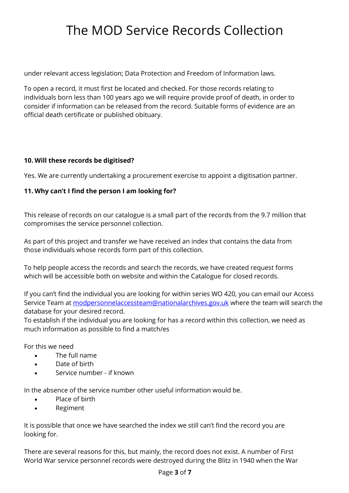under relevant access legislation; Data Protection and Freedom of Information laws.

 individuals born less than 100 years ago we will require provide proof of death, in order to To open a record, it must first be located and checked. For those records relating to consider if information can be released from the record. Suitable forms of evidence are an official death certificate or published obituary.

### **10. Will these records be digitised?**

Yes. We are currently undertaking a procurement exercise to appoint a digitisation partner.

### **11. Why can't I find the person I am looking for?**

 This release of records on our catalogue is a small part of the records from the 9.7 million that compromises the service personnel collection.

As part of this project and transfer we have received an index that contains the data from those individuals whose records form part of this collection.

 which will be accessible both on website and within the Catalogue for closed records. To help people access the records and search the records, we have created request forms

If you can't find the individual you are looking for within series WO 420, you can email our Access Service Team at [modpersonnelaccessteam@nationalarchives.gov.uk](mailto:modpersonnelaccessteam@nationalarchives.gov.uk) where the team will search the database for your desired record.

To establish if the individual you are looking for has a record within this collection, we need as much information as possible to find a match/es

For this we need

- The full name
- Date of birth
- Service number if known

In the absence of the service number other useful information would be.

- Place of birth
- Regiment

It is possible that once we have searched the index we still can't find the record you are looking for.

 There are several reasons for this, but mainly, the record does not exist. A number of First World War service personnel records were destroyed during the Blitz in 1940 when the War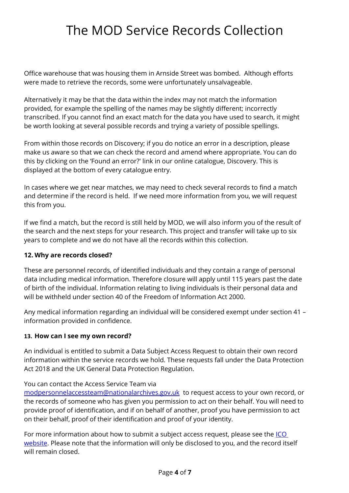were made to retrieve the records, some were unfortunately unsalvageable. Office warehouse that was housing them in Arnside Street was bombed. Although efforts

 transcribed. If you cannot find an exact match for the data you have used to search, it might Alternatively it may be that the data within the index may not match the information provided, for example the spelling of the names may be slightly different; incorrectly be worth looking at several possible records and trying a variety of possible spellings.

 From within those records on Discovery; if you do notice an error in a description, please make us aware so that we can check the record and amend where appropriate. You can do this by clicking on the 'Found an error?' link in our online catalogue, Discovery. This is displayed at the bottom of every catalogue entry.

 In cases where we get near matches, we may need to check several records to find a match and determine if the record is held. If we need more information from you, we will request this from you.

 If we find a match, but the record is still held by MOD, we will also inform you of the result of years to complete and we do not have all the records within this collection. the search and the next steps for your research. This project and transfer will take up to six

### **12. Why are records closed?**

 will be withheld under section 40 of the Freedom of Information Act 2000. These are personnel records, of identified individuals and they contain a range of personal data including medical information. Therefore closure will apply until 115 years past the date of birth of the individual. Information relating to living individuals is their personal data and

Any medical information regarding an individual will be considered exempt under section 41 – information provided in confidence.

### **13. How can I see my own record?**

An individual is entitled to submit a Data Subject Access Request to obtain their own record information within the service records we hold. These requests fall under the Data Protection Act 2018 and the UK General Data Protection Regulation.

#### You can contact the Access Service Team via

[modpersonnelaccessteam@nationalarchives.gov.uk](mailto:modpersonnelaccessteam@nationalarchives.gov.uk) to request access to your own record, or the records of someone who has given you permission to act on their behalf. You will need to provide proof of identification, and if on behalf of another, proof you have permission to act on their behalf, proof of their identification and proof of your identity.

For more information about how to submit a subject access request, please see the <u>ICO</u> [website.](https://ico.org.uk/your-data-matters/your-right-to-get-copies-of-your-data/preparing-and-submitting-your-subject-access-request/) Please note that the information will only be disclosed to you, and the record itself will remain closed.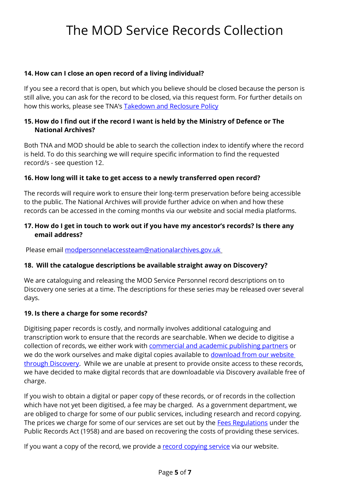### **14. How can I close an open record of a living individual?**

 If you see a record that is open, but which you believe should be closed because the person is how this works, please see TNA's <u>Takedown and Reclosure Policy</u> still alive, you can ask for the record to be closed, via this request form. For further details on

#### **15. How do I find out if the record I want is held by the Ministry of Defence or The National Archives?**

 record/s - see question 12. Both TNA and MOD should be able to search the collection index to identify where the record is held. To do this searching we will require specific information to find the requested

#### **16. How long will it take to get access to a newly transferred open record?**

The records will require work to ensure their long-term preservation before being accessible to the public. The National Archives will provide further advice on when and how these records can be accessed in the coming months via our website and social media platforms.

#### **17. How do I get in touch to work out if you have my ancestor's records? Is there any email address?**

Please email [modpersonnelaccessteam@nationalarchives.gov.uk](mailto:modpersonnelaccessteam@nationalarchives.gov.uk) 

#### **18. Will the catalogue descriptions be available straight away on Discovery?**

We are cataloguing and releasing the MOD Service Personnel record descriptions on to Discovery one series at a time. The descriptions for these series may be released over several days.

#### **19. Is there a charge for some records?**

collection of records, we either work with **commercial and academic publishing partners** or we do the work ourselves and make digital copies available to <u>download from our website </u> [through Discovery.](https://www.nationalarchives.gov.uk/help-with-your-research/) While we are unable at present to provide onsite access to these records, Digitising paper records is costly, and normally involves additional cataloguing and transcription work to ensure that the records are searchable. When we decide to digitise a we have decided to make digital records that are downloadable via Discovery available free of charge.

 If you wish to obtain a digital or paper copy of these records, or of records in the collection are obliged to charge for some of our public services, including research and record copying. The prices we charge for some of our services are set out by the <u>Fees Regulations</u> under the Public Records Act (1958) and are based on recovering the costs of providing these services. which have not yet been digitised, a fee may be charged. As a government department, we

If you want a copy of the record, we provide a [record copying service](https://www.nationalarchives.gov.uk/help-with-your-research/record-copying/) via our website.